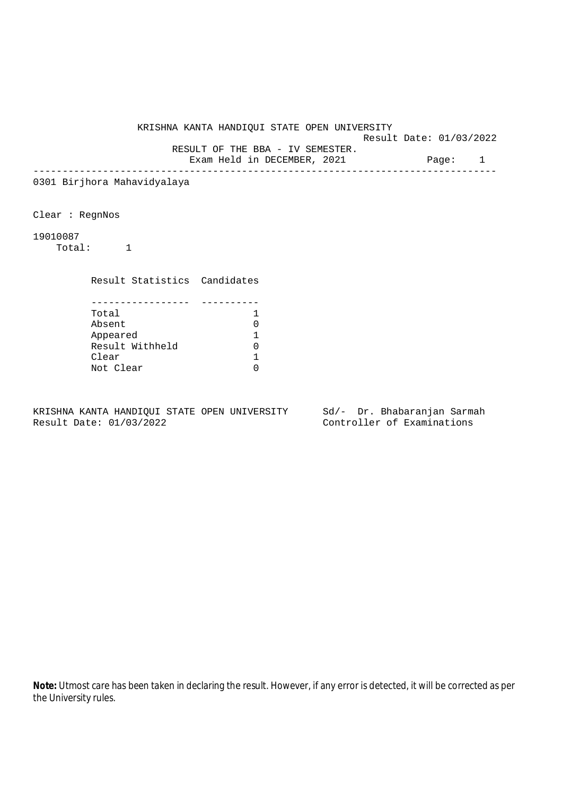KRISHNA KANTA HANDIQUI STATE OPEN UNIVERSITY Result Date: 01/03/2022 RESULT OF THE BBA - IV SEMESTER. Exam Held in DECEMBER, 2021 Page: 1 -------------------------------------------------------------------------------- 0301 Birjhora Mahavidyalaya Clear : RegnNos 19010087 Total: 1 Result Statistics Candidates ----------------- ---------- Total 1<br>Absent 1 Absent 0 Appeared 1 Result Withheld 0<br>Clear 1 Clear 1986 Not Clear 0

KRISHNA KANTA HANDIQUI STATE OPEN UNIVERSITY Sd/- Dr. Bhabaranjan Sarmah Result Date: 01/03/2022 Controller of Examinations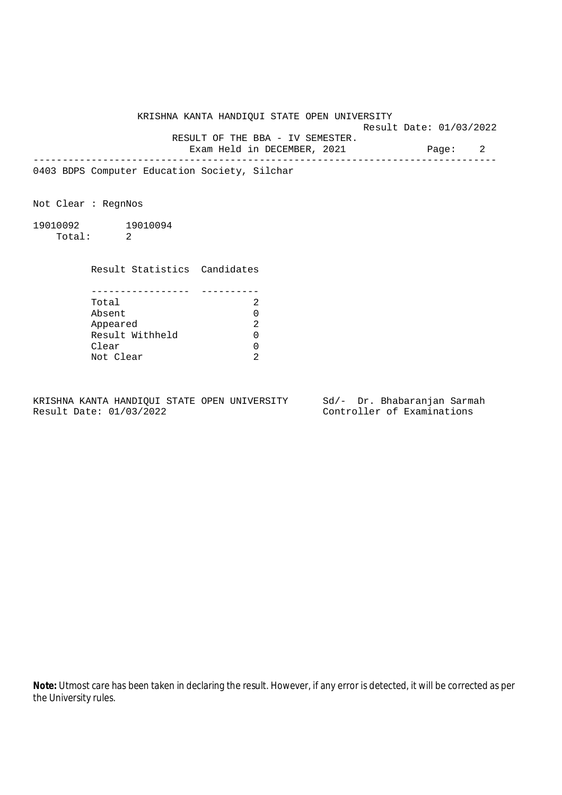Result Date: 01/03/2022

 RESULT OF THE BBA - IV SEMESTER. Exam Held in DECEMBER, 2021 Page: 2

--------------------------------------------------------------------------------

0403 BDPS Computer Education Society, Silchar

Not Clear : RegnNos

19010092 19010094 Total: 2

Result Statistics Candidates

| Total           |  |
|-----------------|--|
| Absent          |  |
| Appeared        |  |
| Result Withheld |  |
| Clear           |  |
| Not Clear       |  |

KRISHNA KANTA HANDIQUI STATE OPEN UNIVERSITY Sd/- Dr. Bhabaranjan Sarmah Result Date: 01/03/2022 Controller of Examinations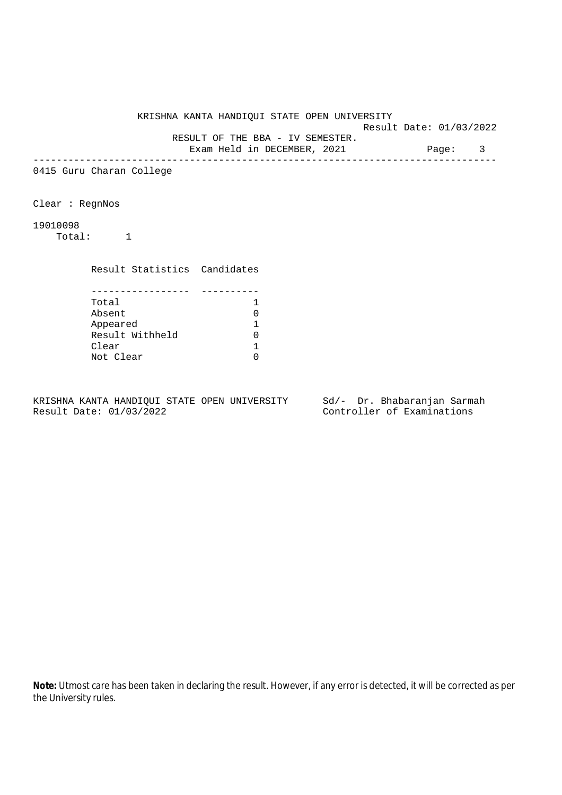Result Date: 01/03/2022

 RESULT OF THE BBA - IV SEMESTER. Exam Held in DECEMBER, 2021 Page: 3

--------------------------------------------------------------------------------

0415 Guru Charan College

Clear : RegnNos

19010098

Total: 1

Result Statistics Candidates

| Total           |  |
|-----------------|--|
| Absent          |  |
| Appeared        |  |
| Result Withheld |  |
| Clear           |  |
| Not Clear       |  |

KRISHNA KANTA HANDIQUI STATE OPEN UNIVERSITY Sd/- Dr. Bhabaranjan Sarmah Result Date: 01/03/2022 Controller of Examinations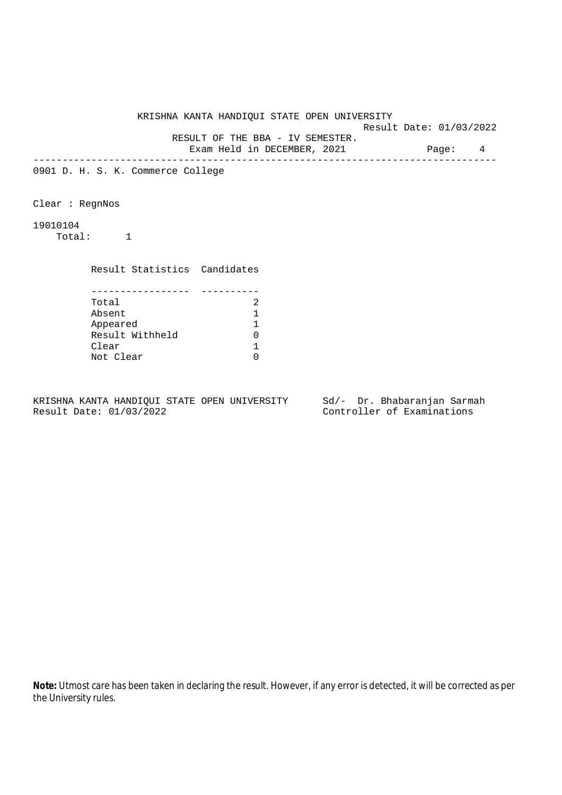Result Date: 01/03/2022 RESULT OF THE BBA - IV SEMESTER.

Exam Held in DECEMBER, 2021 Page: 4

--------------------------------------------------------------------------------

0901 D. H. S. K. Commerce College

Clear : RegnNos

19010104

Total: 1

Result Statistics Candidates

| Total           |  |
|-----------------|--|
| Absent          |  |
| Appeared        |  |
| Result Withheld |  |
| Clear           |  |
| Not Clear       |  |

KRISHNA KANTA HANDIQUI STATE OPEN UNIVERSITY Sd/- Dr. Bhabaranjan Sarmah Result Date: 01/03/2022 Controller of Examinations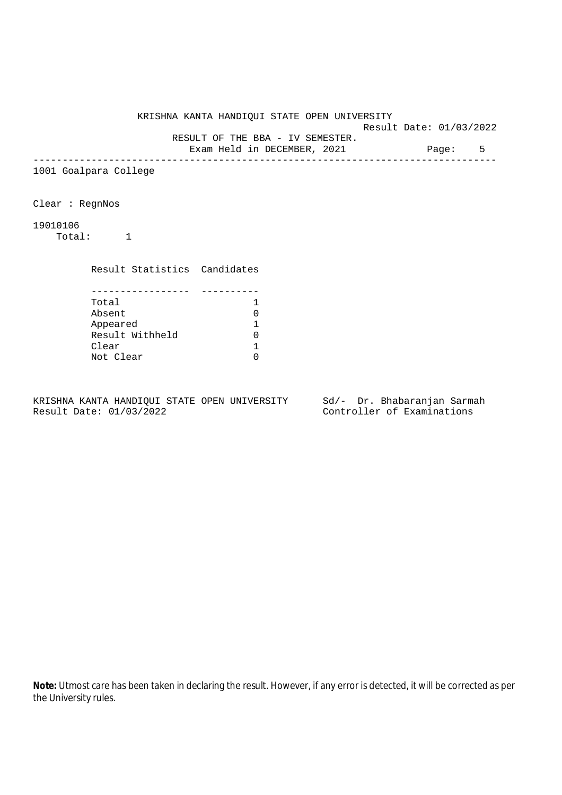Result Date: 01/03/2022 RESULT OF THE BBA - IV SEMESTER.

Exam Held in DECEMBER, 2021 Page: 5

--------------------------------------------------------------------------------

1001 Goalpara College

Clear : RegnNos

19010106

Total: 1

Result Statistics Candidates

| Total           |  |
|-----------------|--|
| Absent          |  |
| Appeared        |  |
| Result Withheld |  |
| Clear           |  |
| Not Clear       |  |

KRISHNA KANTA HANDIQUI STATE OPEN UNIVERSITY Sd/- Dr. Bhabaranjan Sarmah Result Date: 01/03/2022 Controller of Examinations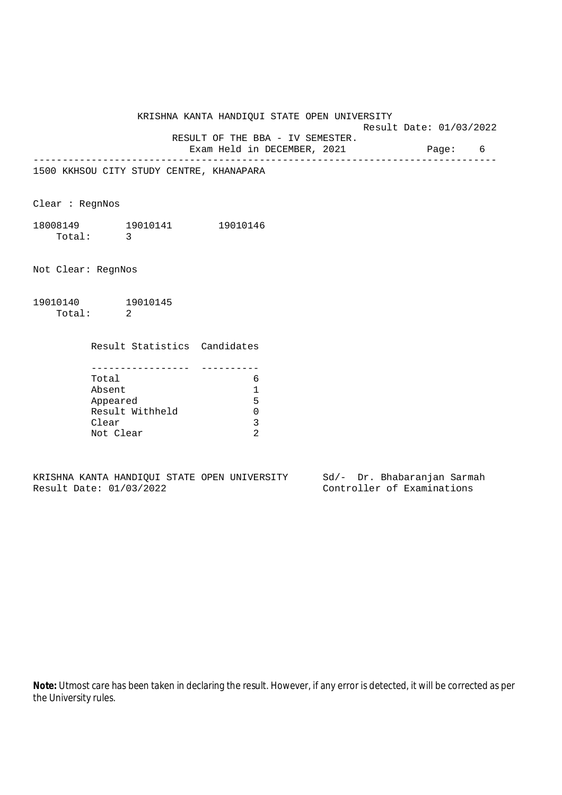Result Date: 01/03/2022

 RESULT OF THE BBA - IV SEMESTER. Exam Held in DECEMBER, 2021 Page: 6

--------------------------------------------------------------------------------

1500 KKHSOU CITY STUDY CENTRE, KHANAPARA

Clear : RegnNos

18008149 19010141 19010146 Total: 3

Not Clear: RegnNos

19010140 19010145 Total: 2

Result Statistics Candidates

| Total           |   |
|-----------------|---|
| Absent          |   |
| Appeared        | 5 |
| Result Withheld |   |
| Clear           |   |
| Not Clear       |   |

KRISHNA KANTA HANDIQUI STATE OPEN UNIVERSITY Sd/- Dr. Bhabaranjan Sarmah Result Date: 01/03/2022 Controller of Examinations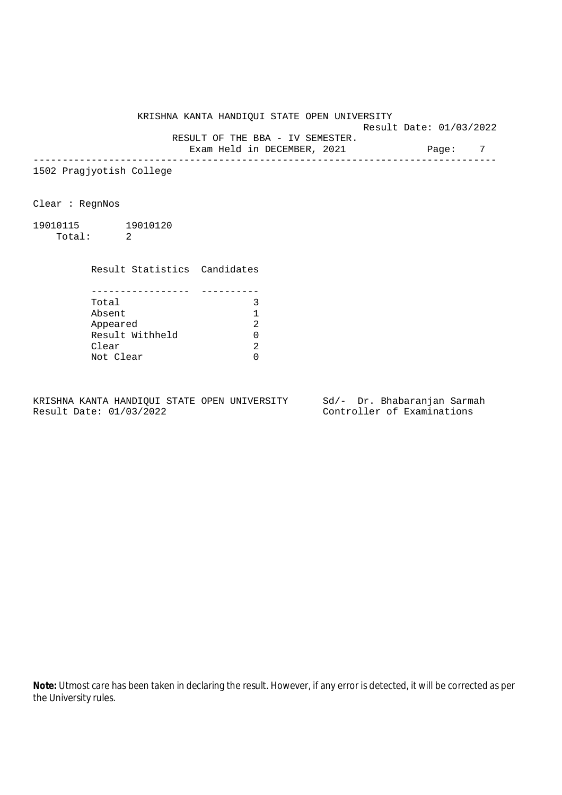Result Date: 01/03/2022

RESULT OF THE BBA - IV SEMESTER.

Exam Held in DECEMBER, 2021 Page: 7 --------------------------------------------------------------------------------

1502 Pragjyotish College

Clear : RegnNos

19010115 19010120 Total: 2

Result Statistics Candidates

| Total           |  |
|-----------------|--|
| Absent          |  |
| Appeared        |  |
| Result Withheld |  |
| Clear           |  |
| Not Clear       |  |

KRISHNA KANTA HANDIQUI STATE OPEN UNIVERSITY Sd/- Dr. Bhabaranjan Sarmah Result Date: 01/03/2022 Controller of Examinations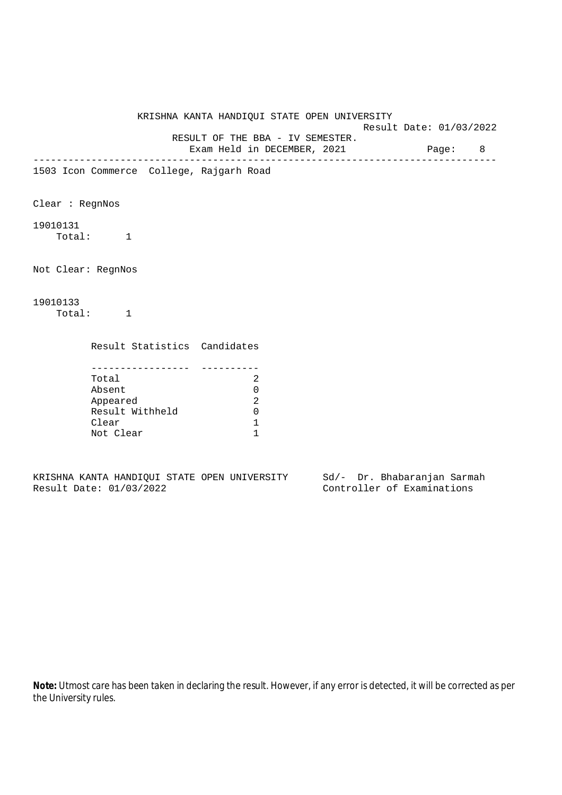Result Date: 01/03/2022

 RESULT OF THE BBA - IV SEMESTER. Exam Held in DECEMBER, 2021 Page: 8

--------------------------------------------------------------------------------

1503 Icon Commerce College, Rajgarh Road

Clear : RegnNos

19010131 Total: 1

Not Clear: RegnNos

## 19010133 Total: 1

Result Statistics Candidates

| Total           |  |
|-----------------|--|
| Absent          |  |
| Appeared        |  |
| Result Withheld |  |
| Clear           |  |
| Not Clear       |  |

KRISHNA KANTA HANDIQUI STATE OPEN UNIVERSITY Sd/- Dr. Bhabaranjan Sarmah Result Date: 01/03/2022 Controller of Examinations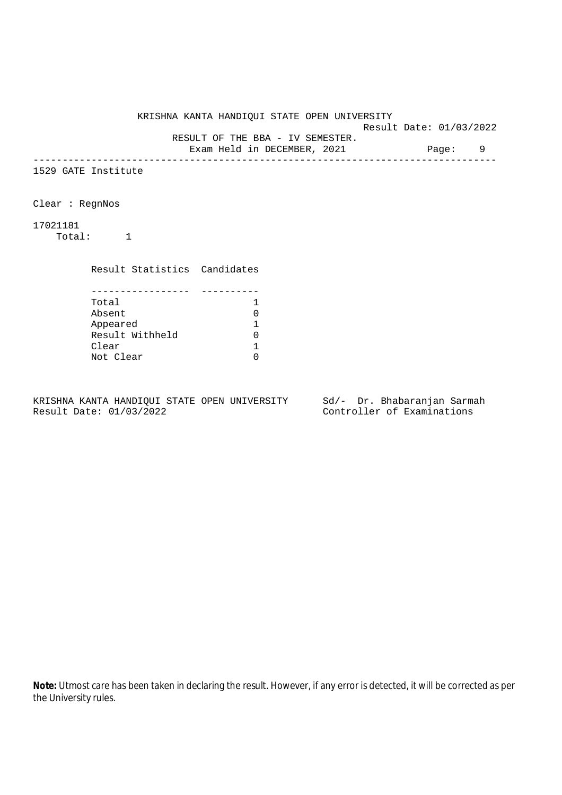Result Date: 01/03/2022 RESULT OF THE BBA - IV SEMESTER.

Exam Held in DECEMBER, 2021 Page: 9

--------------------------------------------------------------------------------

1529 GATE Institute

Clear : RegnNos

17021181

Total: 1

Result Statistics Candidates

| Total           |  |
|-----------------|--|
| Absent          |  |
| Appeared        |  |
| Result Withheld |  |
| Clear           |  |
| Not Clear       |  |

KRISHNA KANTA HANDIQUI STATE OPEN UNIVERSITY Sd/- Dr. Bhabaranjan Sarmah Result Date: 01/03/2022 Controller of Examinations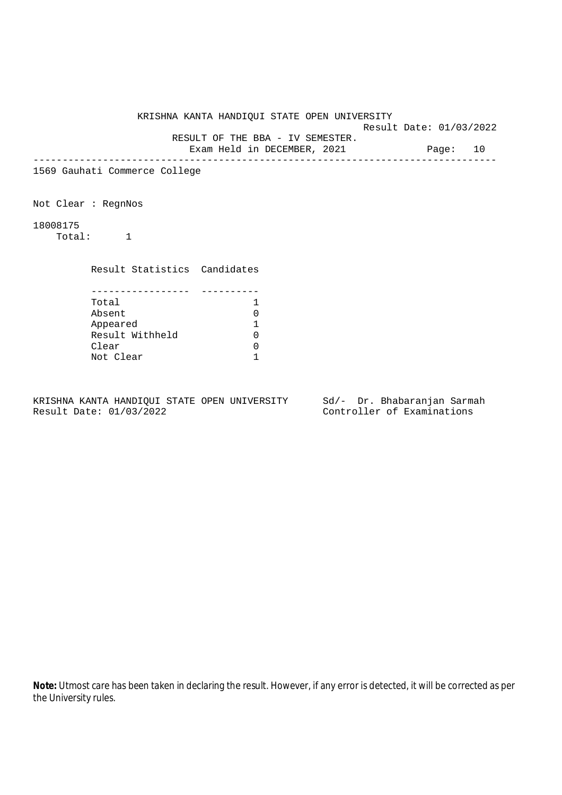Result Date: 01/03/2022

 RESULT OF THE BBA - IV SEMESTER. Exam Held in DECEMBER, 2021 Page: 10

--------------------------------------------------------------------------------

1569 Gauhati Commerce College

Not Clear : RegnNos

18008175

Total: 1

Result Statistics Candidates

| Total           |  |
|-----------------|--|
| Absent          |  |
| Appeared        |  |
| Result Withheld |  |
| Clear           |  |
| Not Clear       |  |

KRISHNA KANTA HANDIQUI STATE OPEN UNIVERSITY Sd/- Dr. Bhabaranjan Sarmah Result Date: 01/03/2022 Controller of Examinations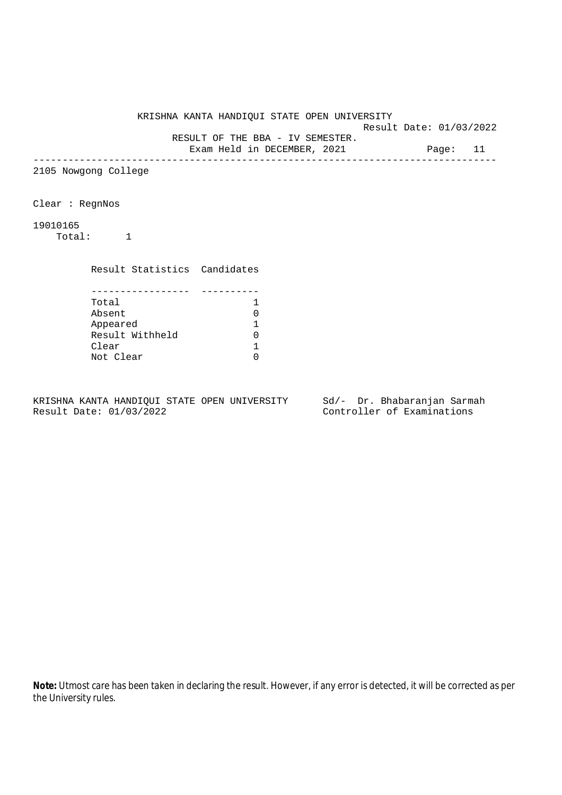Result Date: 01/03/2022 RESULT OF THE BBA - IV SEMESTER.

Exam Held in DECEMBER, 2021 Page: 11

--------------------------------------------------------------------------------

2105 Nowgong College

Clear : RegnNos

19010165

Total: 1

Result Statistics Candidates

| Total           |  |
|-----------------|--|
| Absent          |  |
| Appeared        |  |
| Result Withheld |  |
| Clear           |  |
| Not Clear       |  |

KRISHNA KANTA HANDIQUI STATE OPEN UNIVERSITY Sd/- Dr. Bhabaranjan Sarmah Result Date: 01/03/2022 Controller of Examinations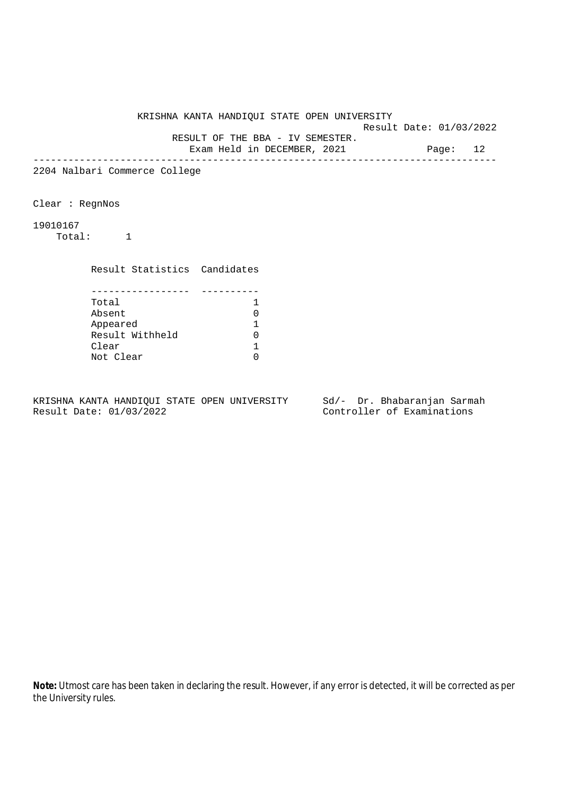Result Date: 01/03/2022 RESULT OF THE BBA - IV SEMESTER.

Exam Held in DECEMBER, 2021 Page: 12

--------------------------------------------------------------------------------

2204 Nalbari Commerce College

Clear : RegnNos

19010167

Total: 1

Result Statistics Candidates

| Total           |  |
|-----------------|--|
| Absent          |  |
| Appeared        |  |
| Result Withheld |  |
| Clear           |  |
| Not Clear       |  |

KRISHNA KANTA HANDIQUI STATE OPEN UNIVERSITY Sd/- Dr. Bhabaranjan Sarmah Result Date: 01/03/2022 Controller of Examinations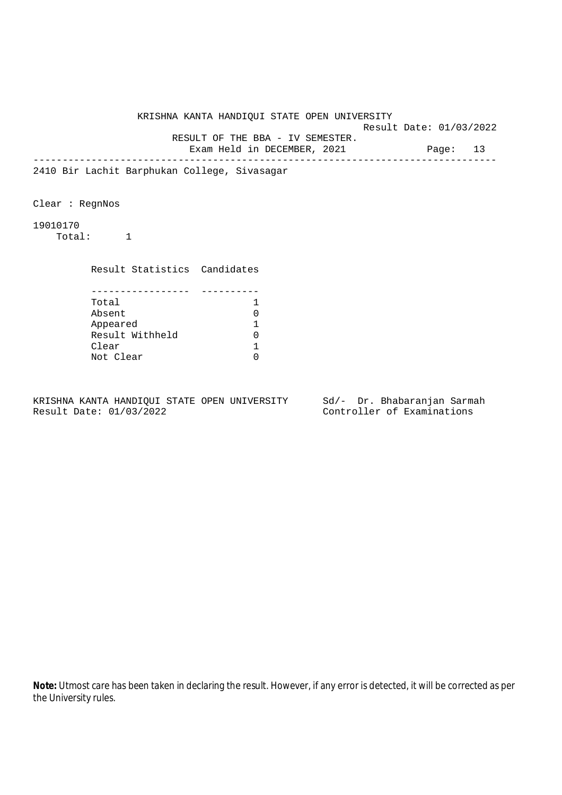Result Date: 01/03/2022 RESULT OF THE BBA - IV SEMESTER.

Exam Held in DECEMBER, 2021 Page: 13

--------------------------------------------------------------------------------

2410 Bir Lachit Barphukan College, Sivasagar

Clear : RegnNos

19010170

Total: 1

 Result Statistics Candidates ----------------- ---------- Total Absent 0

| ADSEIIL         |   |
|-----------------|---|
| Appeared        |   |
| Result Withheld | U |
| Clear           |   |
| Not Clear       | ∩ |
|                 |   |

KRISHNA KANTA HANDIQUI STATE OPEN UNIVERSITY Sd/- Dr. Bhabaranjan Sarmah Result Date: 01/03/2022 Controller of Examinations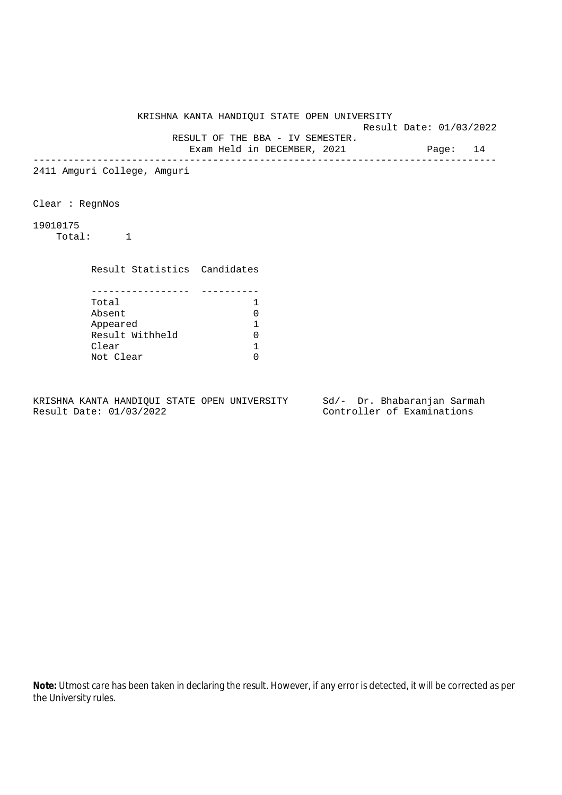Result Date: 01/03/2022 RESULT OF THE BBA - IV SEMESTER.

Exam Held in DECEMBER, 2021 Page: 14

--------------------------------------------------------------------------------

2411 Amguri College, Amguri

Clear : RegnNos

19010175

Total: 1

Result Statistics Candidates

| Total           |  |
|-----------------|--|
| Absent          |  |
| Appeared        |  |
| Result Withheld |  |
| Clear           |  |
| Not Clear       |  |

KRISHNA KANTA HANDIQUI STATE OPEN UNIVERSITY Sd/- Dr. Bhabaranjan Sarmah Result Date: 01/03/2022 Controller of Examinations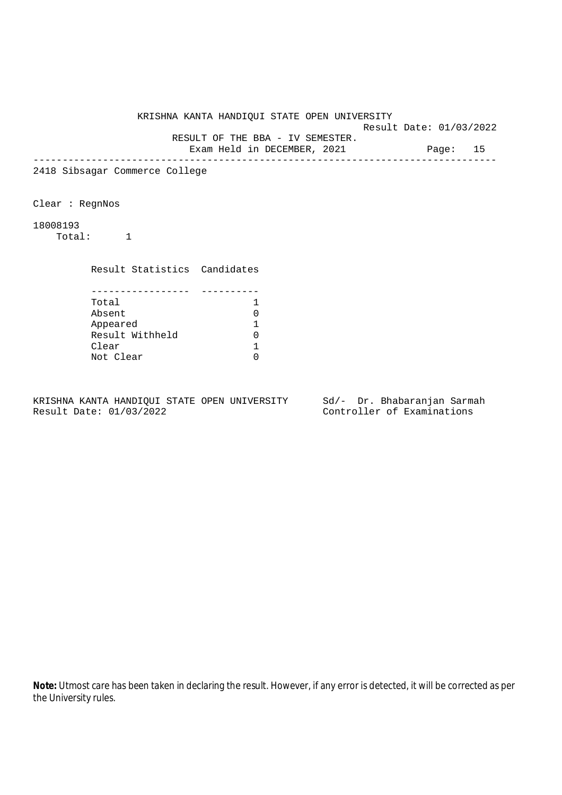Result Date: 01/03/2022 RESULT OF THE BBA - IV SEMESTER.

Exam Held in DECEMBER, 2021 Page: 15

--------------------------------------------------------------------------------

2418 Sibsagar Commerce College

Clear : RegnNos

18008193

Total: 1

Result Statistics Candidates

| Total           |  |
|-----------------|--|
| Absent          |  |
| Appeared        |  |
| Result Withheld |  |
| Clear           |  |
| Not Clear       |  |

KRISHNA KANTA HANDIQUI STATE OPEN UNIVERSITY Sd/- Dr. Bhabaranjan Sarmah Result Date: 01/03/2022 Controller of Examinations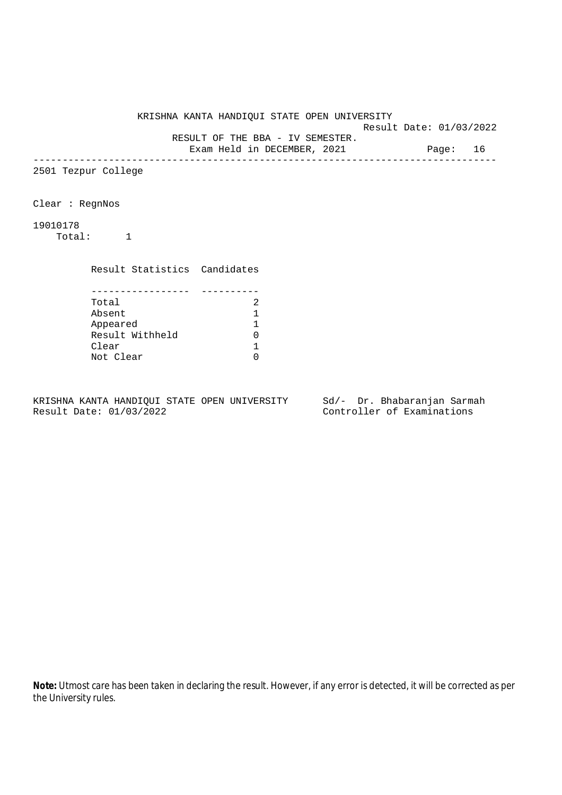Result Date: 01/03/2022 RESULT OF THE BBA - IV SEMESTER.

Exam Held in DECEMBER, 2021 Page: 16

--------------------------------------------------------------------------------

2501 Tezpur College

Clear : RegnNos

19010178

Total: 1

Result Statistics Candidates

| Total           |  |
|-----------------|--|
| Absent          |  |
| Appeared        |  |
| Result Withheld |  |
| Clear           |  |
| Not Clear       |  |

KRISHNA KANTA HANDIQUI STATE OPEN UNIVERSITY Sd/- Dr. Bhabaranjan Sarmah Result Date: 01/03/2022 Controller of Examinations